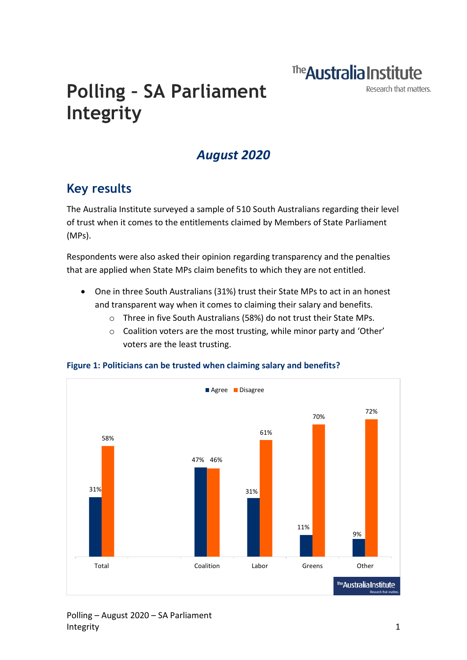The **Australia Institute** 

Research that matters.

# **Polling – SA Parliament Integrity**

## *August 2020*

## **Key results**

The Australia Institute surveyed a sample of 510 South Australians regarding their level of trust when it comes to the entitlements claimed by Members of State Parliament (MPs).

Respondents were also asked their opinion regarding transparency and the penalties that are applied when State MPs claim benefits to which they are not entitled.

- One in three South Australians (31%) trust their State MPs to act in an honest and transparent way when it comes to claiming their salary and benefits.
	- o Three in five South Australians (58%) do not trust their State MPs.
	- o Coalition voters are the most trusting, while minor party and 'Other' voters are the least trusting.



**Figure 1: Politicians can be trusted when claiming salary and benefits?**

#### Polling – August 2020 – SA Parliament Integrity 1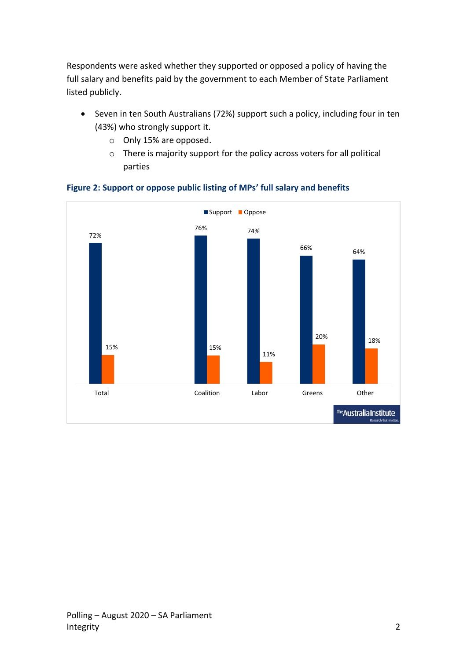Respondents were asked whether they supported or opposed a policy of having the full salary and benefits paid by the government to each Member of State Parliament listed publicly.

- Seven in ten South Australians (72%) support such a policy, including four in ten (43%) who strongly support it.
	- o Only 15% are opposed.
	- o There is majority support for the policy across voters for all political parties



**Figure 2: Support or oppose public listing of MPs' full salary and benefits**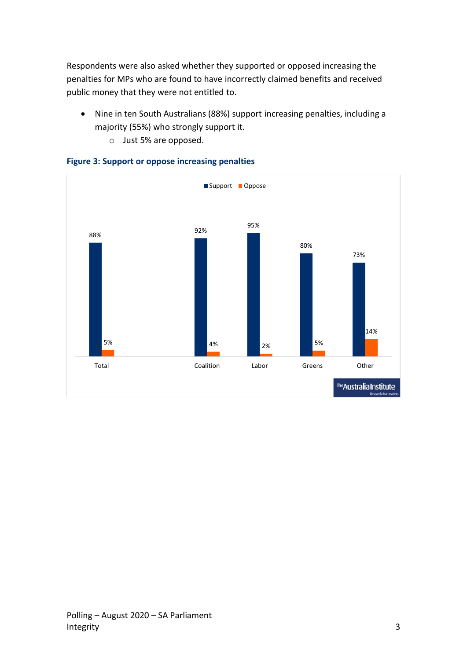Respondents were also asked whether they supported or opposed increasing the penalties for MPs who are found to have incorrectly claimed benefits and received public money that they were not entitled to.

- Nine in ten South Australians (88%) support increasing penalties, including a majority (55%) who strongly support it.
	- o Just 5% are opposed.



#### **Figure 3: Support or oppose increasing penalties**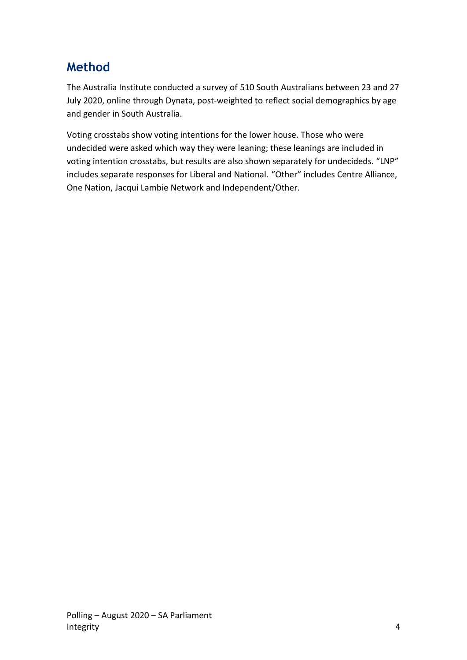## **Method**

The Australia Institute conducted a survey of 510 South Australians between 23 and 27 July 2020, online through Dynata, post-weighted to reflect social demographics by age and gender in South Australia.

Voting crosstabs show voting intentions for the lower house. Those who were undecided were asked which way they were leaning; these leanings are included in voting intention crosstabs, but results are also shown separately for undecideds. "LNP" includes separate responses for Liberal and National. "Other" includes Centre Alliance, One Nation, Jacqui Lambie Network and Independent/Other.